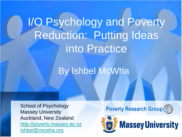I/O Psychology and Poverty Reduction: Putting Ideas into Practice

## By Ishbel McWha

School of Psychology Massey University Auckland, New Zealand [http://poverty.massey.ac.nz](http://poverty.massey.ac.nz/) [ishbel@mcwha.org](mailto:ishbel@mcwha.org)

### **Poverty Research Group**

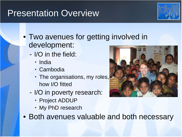## Presentation Overview



- Two avenues for getting involved in development:
	- I/O in the field:
		- India
		- Cambodia
		- The organisations, my roles, how I/O fitted
	- I/O in poverty research:
		- Project ADDUP
		- My PhD research
- Both avenues valuable and both necessary

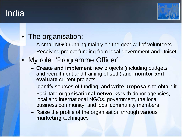## India



### The organisation:

- A small NGO running mainly on the goodwill of volunteers
- Receiving project funding from local government and Unicef
- My role: 'Programme Officer'
	- **Create and implement** new projects (including budgets, and recruitment and training of staff) and **monitor and evaluate** current projects
	- Identify sources of funding, and **write proposals** to obtain it
	- Facilitate **organisational networks** with donor agencies, local and international NGOs, government, the local business community, and local community members
	- Raise the profile of the organisation through various **marketing** techniques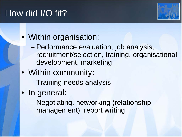# How did I/O fit?



## • Within organisation:

- Performance evaluation, job analysis, recruitment/selection, training, organisational development, marketing
- Within community:
	- Training needs analysis
- In general:
	- Negotiating, networking (relationship management), report writing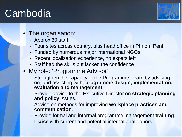# **Cambodia**



#### The organisation:

- Approx 60 staff
- Four sites across country, plus head office in Phnom Penh
- Funded by numerous major international NGOs
- Recent localisation experience, no expats left
- Staff had the skills but lacked the confidence
- My role: 'Programme Advisor'
	- Strengthen the capacity of the Programme Team by advising on, and assisting with, **programme design, implementation, evaluation and management**.
	- Provide advice to the Executive Director on **strategic planning and policy** issues.
	- Advise on methods for improving **workplace practices and communication**.
	- Provide formal and informal programme management **training**.
	- **Liaise** with current and potential international donors.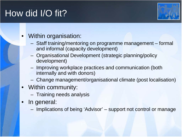# How did I/O fit?



#### • Within organisation:

- Staff training/mentoring on programme management formal and informal (capacity development)
- Organisational Development (strategic planning/policy development)
- Improving workplace practices and communication (both internally and with donors)
- Change management/organisational climate (post localisation)
- Within community:
	- Training needs analysis
- In general:
	- Implications of being 'Advisor' support not control or manage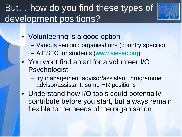# But… how do you find these types of development positions?



- Volunteering is a good option
	- Various sending organisations (country specific)
	- AIESEC for students [\(www.aiesec.org\)](http://www.aiesec.org/)
- You wont find an ad for a volunteer I/O **Psychologist** 
	- try management advisor/assistant, programme advisor/assistant, some HR positions
- Understand how I/O tools could potentially contribute before you start, but always remain flexible to the needs of the organisation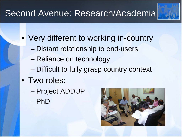# Second Avenue: Research/Academia



- Very different to working in-country
	- Distant relationship to end-users
	- Reliance on technology
	- Difficult to fully grasp country context
- Two roles:
	- Project ADDUP
	- PhD

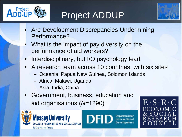

# Project ADDUP



- Are Development Discrepancies Undermining Performance?
- What is the impact of pay diversity on the performance of aid workers?
- Interdisciplinary, but I/O psychology lead
- A research team across 10 countries, with six sites
	- Oceania: Papua New Guinea, Solomon Islands
	- Africa: Malawi, Uganda
	- Asia: India, China
- Government, business, education and aid organisations (*N*=1290)





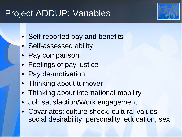## Project ADDUP: Variables

- Self-reported pay and benefits
- Self-assessed ability
- Pay comparison
- Feelings of pay justice
- Pay de-motivation
- Thinking about turnover
- Thinking about international mobility
- Job satisfaction/Work engagement
- Covariates: culture shock, cultural values, social desirability, personality, education, sex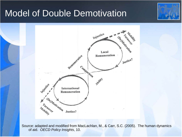## Model of Double Demotivation





Source: adapted and modified from MacLachlan, M., & Carr, S.C. (2005). The human dynamics of aid. *OECD Policy Insights*, 10.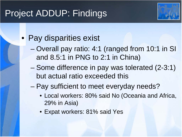# Project ADDUP: Findings



## • Pay disparities exist

- Overall pay ratio: 4:1 (ranged from 10:1 in SI and 8.5:1 in PNG to 2:1 in China)
- Some difference in pay was tolerated (2-3:1) but actual ratio exceeded this
- Pay sufficient to meet everyday needs?
	- Local workers: 80% said No (Oceania and Africa, 29% in Asia)
	- Expat workers: 81% said Yes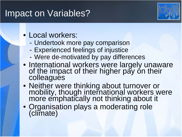## Impact on Variables?



- Local workers:
	- Undertook more pay comparison
	- Experienced feelings of injustice
	- Were de-motivated by pay differences
- International workers were largely unaware of the impact of their higher pay on their colleagues
- Neither were thinking about turnover or mobility, though international workers were more emphatically not thinking about it
- Organisation plays a moderating role (climate)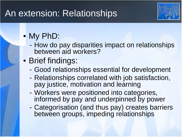## An extension: Relationships



# • My PhD:

- How do pay disparities impact on relationships between aid workers?

## • Brief findings:

- Good relationships essential for development
- Relationships correlated with job satisfaction, pay justice, motivation and learning
- Workers were positioned into categories, informed by pay and underpinned by power
- Categorisation (and thus pay) creates barriers between groups, impeding relationships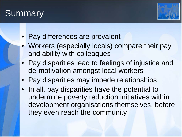# **Summary**



- Pay differences are prevalent
- Workers (especially locals) compare their pay and ability with colleagues
- Pay disparities lead to feelings of injustice and de-motivation amongst local workers
- Pay disparities may impede relationships
- In all, pay disparities have the potential to undermine poverty reduction initiatives within development organisations themselves, before they even reach the community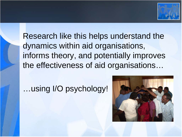

Research like this helps understand the dynamics within aid organisations, informs theory, and potentially improves the effectiveness of aid organisations…

## …using I/O psychology!